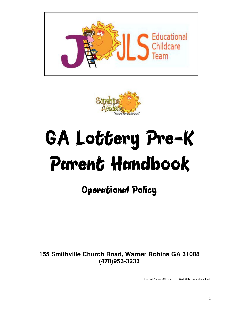



# GA Lottery Pre-K Parent Handbook

## Operational Policy

**155 Smithville Church Road, Warner Robins GA 31088 (478)953-3233**

Revised August 2018wb GAPREK Parents Handbook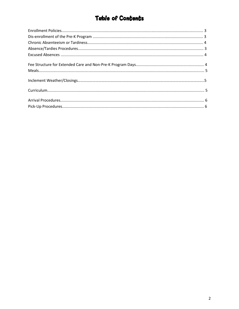### **Table of Contents**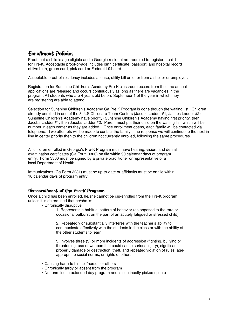#### Enrollment Policies

Proof that a child is age eligible and a Georgia resident are required to register a child for Pre-K. Acceptable proof-of-age includes birth certificate, passport, and hospital record of live birth, green card, pink card or Federal I-94 card.

Acceptable proof-of-residency includes a lease, utility bill or letter from a shelter or employer.

Registration for Sunshine Children's Academy Pre-K classroom occurs from the time annual applications are released and occurs continuously as long as there are vacancies in the program. All students who are 4 years old before September 1 of the year in which they are registering are able to attend.

Selection for Sunshine Children's Academy Ga Pre K Program is done though the waiting list. Children already enrolled in one of the 3 JLS Childcare Team Centers (Jacobs Ladder #1, Jacobs Ladder #2 or Sunshine Children's Academy have priority) Sunshine Children's Academy having first priority, then Jacobs Ladder #1, then Jacobs Ladder #2. Parent must put their child on the waiting list, which will be number in each center as they are added. Once enrollment opens, each family will be contacted via telephone. Two attempts will be made to contact the family, if no response we will continue to the next in line in center priority then to the children not currently enrolled, following the same procedures.

All children enrolled in Georgia's Pre-K Program must have hearing, vision, and dental examination certificates (Ga Form 3300) on file within 90 calendar days of program entry. Form 3300 must be signed by a private practitioner or representative of a local Department of Health.

Immunizations (Ga Form 3231) must be up-to-date or affidavits must be on file within 10 calendar days of program entry.

#### Dis-enrollment of the Pre-K Program

Once a child has been enrolled, he/she cannot be dis-enrolled from the Pre-K program unless it is determined that he/she is:

• Chronically disruptive

1. Represents a habitual pattern of behavior (as opposed to the rare or occasional outburst on the part of an acutely fatigued or stressed child)

2. Repeatedly or substantially interferes with the teacher's ability to communicate effectively with the students in the class or with the ability of the other students to learn

3. Involves three (3) or more incidents of aggression (fighting, bullying or threatening, use of weapon that could cause serious injury), significant property damage or destruction, theft, and repeated violation of rules, ageappropriate social norms, or rights of others.

- Causing harm to himself/herself or others
- Chronically tardy or absent from the program
- Not enrolled in extended day program and is continually picked up late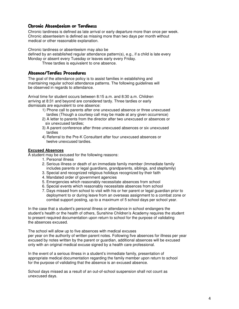#### Chronic Absenteeism or Tardiness

Chronic tardiness is defined as late arrival or early departure more than once per week. Chronic absenteeism is defined as missing more than two days per month without medical or other reasonable explanation.

Chronic tardiness or absenteeism may also be

defined by an established regular attendance pattern(s), e.g., if a child is late every Monday or absent every Tuesday or leaves early every Friday.

Three tardies is equivalent to one absence.

#### Absence/Tardies Procedures

The goal of the attendance policy is to assist families in establishing and maintaining regular school attendance patterns. The following guidelines will be observed in regards to attendance.

Arrival time for student occurs between 8:15 a.m. and 8:30 a.m. Children arriving at 8:31 and beyond are considered tardy. Three tardies or early dismissals are equivalent to one absence:

- 1) Phone call to parents after one unexcused absence or three unexcused tardies (Though a courtesy call may be made at any given occurrence)
- 2) A letter to parents from the director after two unexcused or absences or six unexcused tardies;
- 3) A parent conference after three unexcused absences or six unexcused tardies
- 4) Referral to the Pre-K Consultant after four unexcused absences or twelve unexcused tardies.

#### **Excused Absences**

A student may be excused for the following reasons:

- 1. Personal illness
- 2. Serious illness or death of an immediate family member (Immediate family includes parents or legal guardians, grandparents, siblings, and stepfamily)
- 3. Special and recognized religious holidays recognized by their faith
- 4. Mandated order of government agencies
- 5. Emergencies which reasonably necessitate absences from school
- 6. Special events which reasonably necessitate absences from school
- 7. Days missed from school to visit with his or her parent or legal guardian prior to deployment to or during leave from an overseas assignment to a combat zone or combat support posting, up to a maximum of 5 school days per school year.

In the case that a student's personal illness or attendance in school endangers the student's health or the health of others, Sunshine Children's Academy requires the student to present required documentation upon return to school for the purpose of validating the absences excused.

The school will allow up to five absences with medical excuses per year on the authority of written parent notes. Following five absences for illness per year excused by notes written by the parent or guardian, additional absences will be excused only with an original medical excuse signed by a health care professional.

 In the event of a serious illness in a student's immediate family, presentation of appropriate medical documentation regarding the family member upon return to school for the purpose of validating that the absence is an excused absence.

School days missed as a result of an out-of-school suspension shall not count as unexcused days.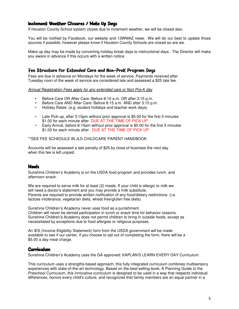#### Inclement Weather Closures / Make Up Days

If Houston County School system closes due to inclement weather, we will be closed also.

You will be notified by Facebook, our website and 13WMAZ news. We will do our best to update those sources if possible, however please know if Houston County Schools are closed so are we.

Make up day may be made by converting holiday break days to instructional days. The Director will make you aware in advance if this occurs with a written notice.

#### Fee Structure for Extended Care and Non-PreK Program Days

Fees are due in advance on Mondays for the week of service. Payments received after Tuesday noon of the week of service are considered late and assessed a \$25 late fee.

*Annual Registration Fees apply for any extended care or Non Pre-K day* 

- Before Care OR After Care: Before 8:15 a.m. OR after 3:15 p.m.
- Before Care AND After Care: Before 8:15 a.m. AND after 3:15 p.m.
- Holiday Rates: (e.g. student holidays and teacher work days)
- Late Pick-up, after 3:15pm without prior approval is \$5.00 for the first 5 minutes \$1.00 for each minute after. DUE AT THE TIME OF PICK UP
- Early Arrival, before 8:15am without prior approval is \$5.00 for the first 5 minutes \$1.00 for each minute after. DUE AT THE TIME OF PICK UP

#### \*\*SEE FEE SCHEDULE IN JLS CHILDCARE PARENT HANDBOOK

Accounts will be assessed a late penalty of \$25 by close of business the next day when this fee is left unpaid.

#### **Meals**

Sunshine Children's Academy is on the USDA food program and provides lunch, and afternoon snack.

We are required to serve milk for at least (2) meals. If your child is allergic to milk we will need a doctor's statement and you may provide a milk substitute. Parents are required to provide written notification of any food/dietary restrictions. (i.e. lactose intolerance, vegetarian diets, wheat free/gluten free diets).

Sunshine Children's Academy never uses food as a punishment. Children will never be denied participation in lunch or snack time for behavior reasons. Sunshine Children's Academy does not permit children to bring in outside foods, except as necessitated by exceptions due to food allergies or religious purposes.

An IES (Income Eligibility Statement) form from the USDA government will be made available to see if our center, if you choose to opt out of completing the form, there will be a \$5.00 a day meal charge.

#### **Curriculum**

Sunshine Children's Academy uses the GA approved: KAPLAN'S LEARN EVERY DAY Curriculum.

This curriculum uses a strengths-based approach; this fully integrated curriculum combines multisensory experiences with state-of-the-art technology. Based on the best-selling book, A Planning Guide to the Preschool Curriculum, this innovative curriculum is designed to be used in a way that respects individual differences, honors every child's culture, and recognizes that family members are an equal partner in a